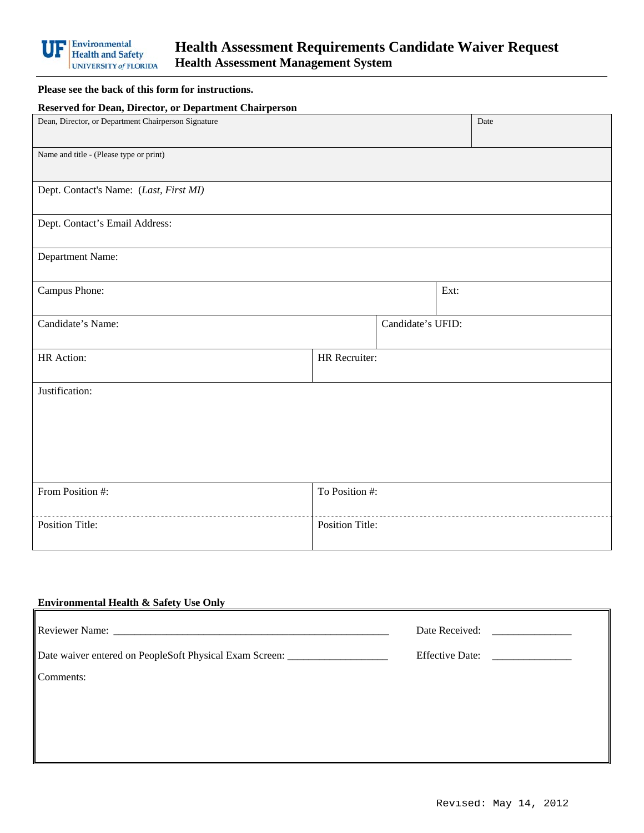

## **Please see the back of this form for instructions.**

| <b>Reserved for Dean, Director, or Department Chairperson</b> |                        |                   |      |      |
|---------------------------------------------------------------|------------------------|-------------------|------|------|
| Dean, Director, or Department Chairperson Signature           |                        |                   |      | Date |
| Name and title - (Please type or print)                       |                        |                   |      |      |
| Dept. Contact's Name: (Last, First MI)                        |                        |                   |      |      |
| Dept. Contact's Email Address:                                |                        |                   |      |      |
| Department Name:                                              |                        |                   |      |      |
| Campus Phone:                                                 |                        |                   | Ext: |      |
| Candidate's Name:                                             |                        | Candidate's UFID: |      |      |
| HR Action:                                                    | HR Recruiter:          |                   |      |      |
| Justification:                                                |                        |                   |      |      |
|                                                               |                        |                   |      |      |
|                                                               |                        |                   |      |      |
| From Position #:                                              | To Position #:         |                   |      |      |
| <b>Position Title:</b>                                        | <b>Position Title:</b> |                   |      |      |

## Comments: **Environmental Health & Safety Use Only**  Reviewer Name: \_\_\_\_\_\_\_\_\_\_\_\_\_\_\_\_\_\_\_\_\_\_\_\_\_\_\_\_\_\_\_\_\_\_\_\_\_\_\_\_\_\_\_\_\_\_\_\_\_\_\_\_ Date Received: \_\_\_\_\_\_\_\_\_\_\_\_\_\_\_ Date waiver entered on PeopleSoft Physical Exam Screen: \_\_\_\_\_\_\_\_\_\_\_\_\_\_\_\_\_\_\_\_\_\_\_\_